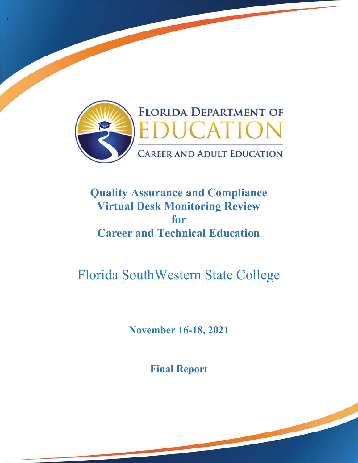

'

# **Quality Assurance and Compliance Virtual Desk Monitoring Review for Career and Technical Education**

# Florida SouthWestern State College

**November 16-18, 2021** 

**Final Report**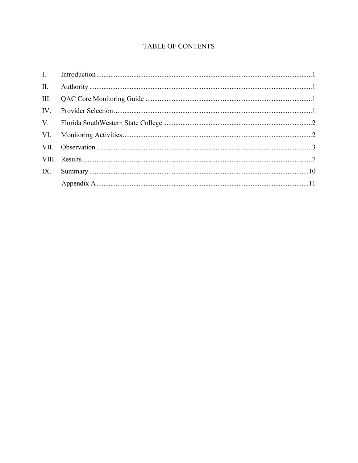# TABLE OF CONTENTS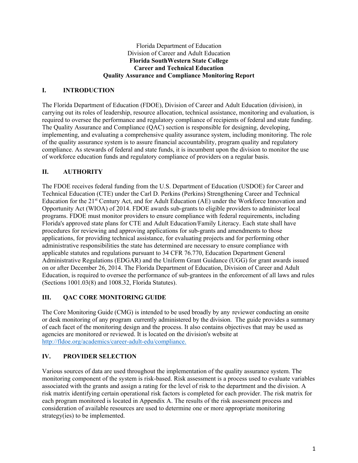#### Florida Department of Education Division of Career and Adult Education **Florida SouthWestern State College Career and Technical Education Quality Assurance and Compliance Monitoring Report**

# **I. INTRODUCTION**

 required to oversee the performance and regulatory compliance of recipients of federal and state funding. The Florida Department of Education (FDOE), Division of Career and Adult Education (division), in carrying out its roles of leadership, resource allocation, technical assistance, monitoring and evaluation, is The Quality Assurance and Compliance (QAC) section is responsible for designing, developing, implementing, and evaluating a comprehensive quality assurance system, including monitoring. The role of the quality assurance system is to assure financial accountability, program quality and regulatory compliance. As stewards of federal and state funds, it is incumbent upon the division to monitor the use of workforce education funds and regulatory compliance of providers on a regular basis.

## **II. AUTHORITY**

The FDOE receives federal funding from the U.S. Department of Education (USDOE) for Career and Technical Education (CTE) under the Carl D. Perkins (Perkins) Strengthening Career and Technical Education for the 21st Century Act, and for Adult Education (AE) under the Workforce Innovation and Opportunity Act (WIOA) of 2014. FDOE awards sub-grants to eligible providers to administer local programs. FDOE must monitor providers to ensure compliance with federal requirements, including Florida's approved state plans for CTE and Adult Education/Family Literacy. Each state shall have procedures for reviewing and approving applications for sub-grants and amendments to those applications, for providing technical assistance, for evaluating projects and for performing other administrative responsibilities the state has determined are necessary to ensure compliance with applicable statutes and regulations pursuant to 34 CFR 76.770, Education Department General Administrative Regulations (EDGAR) and the Uniform Grant Guidance (UGG) for grant awards issued on or after December 26, 2014. The Florida Department of Education, Division of Career and Adult Education, is required to oversee the performance of sub-grantees in the enforcement of all laws and rules (Sections 1001.03(8) and 1008.32, Florida Statutes).

# **III. QAC CORE MONITORING GUIDE**

 The Core Monitoring Guide (CMG) is intended to be used broadly by any reviewer conducting an onsite or desk monitoring of any program currently administered by the division. The guide provides a summary of each facet of the monitoring design and the process. It also contains objectives that may be used as agencies are monitored or reviewed. It is located on the division's website at http://fldoe.org/academics/career-adult-edu/compliance.

#### **IV. PROVIDER SELECTION**

Various sources of data are used throughout the implementation of the quality assurance system. The monitoring component of the system is risk-based. Risk assessment is a process used to evaluate variables associated with the grants and assign a rating for the level of risk to the department and the division. A risk matrix identifying certain operational risk factors is completed for each provider. The risk matrix for each program monitored is located in Appendix A. The results of the risk assessment process and consideration of available resources are used to determine one or more appropriate monitoring strategy(ies) to be implemented.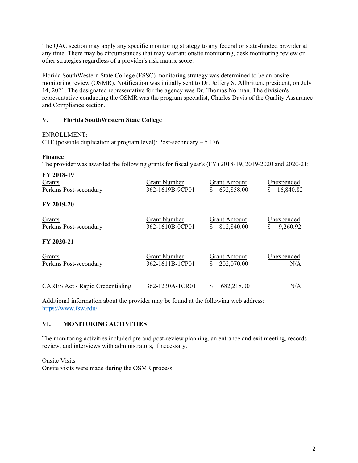The QAC section may apply any specific monitoring strategy to any federal or state-funded provider at any time. There may be circumstances that may warrant onsite monitoring, desk monitoring review or other strategies regardless of a provider's risk matrix score.

Florida SouthWestern State College (FSSC) monitoring strategy was determined to be an onsite monitoring review (OSMR). Notification was initially sent to Dr. Jeffery S. Allbritten, president, on July 14, 2021. The designated representative for the agency was Dr. Thomas Norman. The division's representative conducting the OSMR was the program specialist, Charles Davis of the Quality Assurance and Compliance section.

#### **V. Florida SouthWestern State College**

#### ENROLLMENT:

CTE (possible duplication at program level): Post-secondary  $-5,176$ 

#### **Finance**

The provider was awarded the following grants for fiscal year's (FY) 2018-19, 2019-2020 and 2020-21:

| FY 2018-19                             |                     |                     |                |
|----------------------------------------|---------------------|---------------------|----------------|
| Grants                                 | <b>Grant Number</b> | <b>Grant Amount</b> | Unexpended     |
| Perkins Post-secondary                 | 362-1619B-9CP01     | \$<br>692,858.00    | 16,840.82<br>S |
| FY 2019-20                             |                     |                     |                |
| Grants                                 | <b>Grant Number</b> | <b>Grant Amount</b> | Unexpended     |
| Perkins Post-secondary                 | 362-1610B-0CP01     | \$<br>812,840.00    | S<br>9,260.92  |
| FY 2020-21                             |                     |                     |                |
| Grants                                 | <b>Grant Number</b> | <b>Grant Amount</b> | Unexpended     |
| Perkins Post-secondary                 | 362-1611B-1CP01     | \$<br>202,070.00    | N/A            |
|                                        |                     |                     |                |
| <b>CARES Act - Rapid Credentialing</b> | 362-1230A-1CR01     | \$<br>682,218.00    | N/A            |

Additional information about the provider may be found at the following web address: https://www.fsw.edu/.

#### **VI. MONITORING ACTIVITIES**

 review, and interviews with administrators, if necessary. The monitoring activities included pre and post-review planning, an entrance and exit meeting, records

Onsite Visits Onsite visits were made during the OSMR process.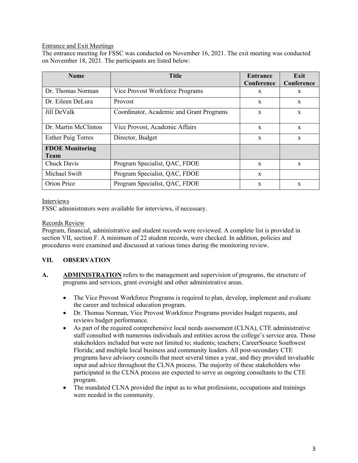#### Entrance and Exit Meetings

The entrance meeting for FSSC was conducted on November 16, 2021. The exit meeting was conducted on November 18, 2021. The participants are listed below:

| <b>Name</b>               | <b>Title</b>                             | Entrance<br>Conference | Exit<br>Conference |
|---------------------------|------------------------------------------|------------------------|--------------------|
|                           |                                          |                        |                    |
| Dr. Thomas Norman         | Vice Provost Workforce Programs          | X                      | X                  |
| Dr. Eileen DeLura         | Provost                                  | X                      | X                  |
| Jill DeValk               | Coordinator, Academic and Grant Programs | $\mathbf x$            | $\mathbf{x}$       |
| Dr. Martin McClinton      | Vice Provost, Academic Affairs           | $\mathbf x$            | $\mathbf{x}$       |
| <b>Esther Puig Torres</b> | Director, Budget                         | $\mathbf x$            | X                  |
| <b>FDOE Monitoring</b>    |                                          |                        |                    |
| <b>Team</b>               |                                          |                        |                    |
| Chuck Davis               | Program Specialist, QAC, FDOE            | $\mathbf{x}$           | $\mathbf{x}$       |
| Michael Swift             | Program Specialist, QAC, FDOE            | $\mathbf x$            |                    |
| Orion Price               | Program Specialist, QAC, FDOE            | $\mathbf x$            | $\mathbf{x}$       |

#### Interviews

FSSC administrators were available for interviews, if necessary.

#### Records Review

Program, financial, administrative and student records were reviewed. A complete list is provided in section VII, section F. A minimum of 22 student records, were checked. In addition, policies and procedures were examined and discussed at various times during the monitoring review.

#### **VII. OBSERVATION**

- **A. ADMINISTRATION** refers to the management and supervision of programs, the structure of programs and services, grant oversight and other administrative areas.
	- The Vice Provost Workforce Programs is required to plan, develop, implement and evaluate the career and technical education program.
	- Dr. Thomas Norman, Vice Provost Workforce Programs provides budget requests, and reviews budget performance.
	- As part of the required comprehensive local needs assessment (CLNA), CTE administrative staff consulted with numerous individuals and entities across the college's service area. Those stakeholders included but were not limited to; students; teachers; CareerSource Southwest Florida; and multiple local business and community leaders. All post-secondary CTE programs have advisory councils that meet several times a year, and they provided invaluable input and advice throughout the CLNA process. The majority of these stakeholders who participated in the CLNA process are expected to serve as ongoing consultants to the CTE program.
	- The mandated CLNA provided the input as to what professions, occupations and trainings were needed in the community.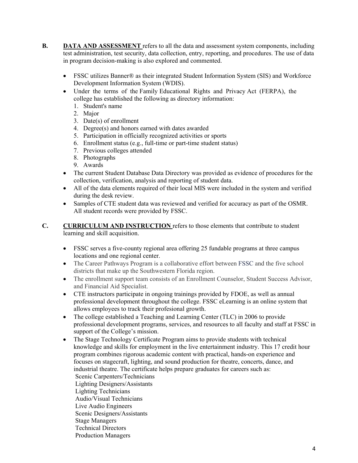- **B. DATA AND ASSESSMENT** refers to all the data and assessment system components, including test administration, test security, data collection, entry, reporting, and procedures. The use of data in program decision-making is also explored and commented.
	- FSSC utilizes Banner® as their integrated Student Information System (SIS) and Workforce Development Information System (WDIS).
	- Under the terms of the Family Educational Rights and Privacy Act (FERPA), the college has established the following as directory information:
		- 1. Student's name
		- 2. Major
		- 3. Date(s) of enrollment
		- 4. Degree(s) and honors earned with dates awarded
		- 5. Participation in officially recognized activities or sports
		- 6. Enrollment status (e.g., full-time or part-time student status)
		- 7. Previous colleges attended
		- 8. Photographs
		- 9. Awards
	- The current Student Database Data Directory was provided as evidence of procedures for the collection, verification, analysis and reporting of student data.
	- All of the data elements required of their local MIS were included in the system and verified during the desk review.
	- Samples of CTE student data was reviewed and verified for accuracy as part of the OSMR. All student records were provided by FSSC.
- **C. CURRICULUM AND INSTRUCTION** refers to those elements that contribute to student learning and skill acquisition.
	- FSSC serves a five-county regional area offering 25 fundable programs at three campus locations and one regional center.
	- The Career Pathways Program is a collaborative effort between FSSC and the five school districts that make up the Southwestern Florida region.
	- The enrollment support team consists of an Enrollment Counselor, Student Success Advisor, and Financial Aid Specialist.
	- CTE instructors participate in ongoing trainings provided by FDOE, as well as annual professional development throughout the college. FSSC eLearning is an online system that allows employees to track their profesional growth.
	- The college established a Teaching and Learning Center (TLC) in 2006 to provide professional development programs, services, and resources to all faculty and staff at FSSC in support of the College's mission.
	- The Stage Technology Certificate Program aims to provide students with technical knowledge and skills for employment in the live entertainment industry. This 17 credit hour program combines rigorous academic content with practical, hands-on experience and focuses on stagecraft, lighting, and sound production for theatre, concerts, dance, and industrial theatre. The certificate helps prepare graduates for careers such as: Scenic Carpenters/Technicians Lighting Designers/Assistants Lighting Technicians Audio/Visual Technicians Live Audio Engineers Scenic Designers/Assistants Stage Managers Technical Directors Production Managers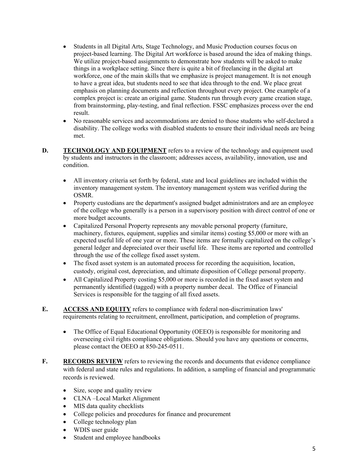- Students in all Digital Arts, Stage Technology, and Music Production courses focus on project-based learning. The Digital Art workforce is based around the idea of making things. We utilize project-based assignments to demonstrate how students will be asked to make things in a workplace setting. Since there is quite a bit of freelancing in the digital art workforce, one of the main skills that we emphasize is project management. It is not enough to have a great idea, but students need to see that idea through to the end. We place great emphasis on planning documents and reflection throughout every project. One example of a complex project is: create an original game. Students run through every game creation stage, from brainstorming, play-testing, and final reflection. FSSC emphasizes process over the end result.
- No reasonable services and accommodations are denied to those students who self-declared a disability. The college works with disabled students to ensure their individual needs are being met.
- **D. TECHNOLOGY AND EQUIPMENT** refers to a review of the technology and equipment used by students and instructors in the classroom; addresses access, availability, innovation, use and condition.
	- All inventory criteria set forth by federal, state and local guidelines are included within the inventory management system. The inventory management system was verified during the OSMR.
	- Property custodians are the department's assigned budget administrators and are an employee of the college who generally is a person in a supervisory position with direct control of one or more budget accounts.
	- through the use of the college fixed asset system. Capitalized Personal Property represents any movable personal property (furniture, machinery, fixtures, equipment, supplies and similar items) costing \$5,000 or more with an expected useful life of one year or more. These items are formally capitalized on the college's general ledger and depreciated over their useful life. These items are reported and controlled
	- The fixed asset system is an automated process for recording the acquisition, location, custody, original cost, depreciation, and ultimate disposition of College personal property.
	- All Capitalized Property costing \$5,000 or more is recorded in the fixed asset system and permanently identified (tagged) with a property number decal. The Office of Financial Services is responsible for the tagging of all fixed assets.
- **E. ACCESS AND EQUITY** refers to compliance with federal non-discrimination laws' requirements relating to recruitment, enrollment, participation, and completion of programs.
	- The Office of Equal Educational Opportunity (OEEO) is responsible for monitoring and overseeing civil rights compliance obligations. Should you have any questions or concerns, please contact the OEEO at 850-245-0511.
- **F. RECORDS REVIEW** refers to reviewing the records and documents that evidence compliance with federal and state rules and regulations. In addition, a sampling of financial and programmatic records is reviewed.
	- Size, scope and quality review
	- CLNA –Local Market Alignment
	- MIS data quality checklists
	- College policies and procedures for finance and procurement
	- College technology plan
	- WDIS user guide
	- Student and employee handbooks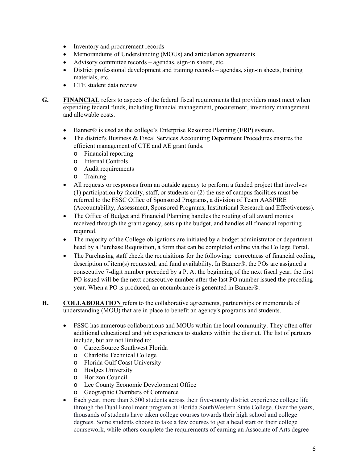- Inventory and procurement records
- Memorandums of Understanding (MOUs) and articulation agreements
- Advisory committee records agendas, sign-in sheets, etc.
- materials, etc. District professional development and training records – agendas, sign-in sheets, training
- CTE student data review
- **G. FINANCIAL** refers to aspects of the federal fiscal requirements that providers must meet when expending federal funds, including financial management, procurement, inventory management and allowable costs.
	- Banner® is used as the college's Enterprise Resource Planning (ERP) system.
	- The district's Business & Fiscal Services Accounting Department Procedures ensures the efficient management of CTE and AE grant funds.
		- o Financial reporting
		- o Internal Controls
		- o Audit requirements
		- o Training
	- All requests or responses from an outside agency to perform a funded project that involves (1) participation by faculty, staff, or students or (2) the use of campus facilities must be referred to the FSSC Office of Sponsored Programs, a division of Team AASPIRE (Accountability, Assessment, Sponsored Programs, Institutional Research and Effectiveness).
	- The Office of Budget and Financial Planning handles the routing of all award monies received through the grant agency, sets up the budget, and handles all financial reporting required.
	- The majority of the College obligations are initiated by a budget administrator or department head by a Purchase Requisition, a form that can be completed online via the College Portal.
	- The Purchasing staff check the requisitions for the following: correctness of financial coding, description of item(s) requested, and fund availability. In Banner®, the POs are assigned a consecutive 7-digit number preceded by a P. At the beginning of the next fiscal year, the first PO issued will be the next consecutive number after the last PO number issued the preceding year. When a PO is produced, an encumbrance is generated in Banner®.
- **H. COLLABORATION** refers to the collaborative agreements, partnerships or memoranda of understanding (MOU) that are in place to benefit an agency's programs and students.
	- include, but are not limited to: FSSC has numerous collaborations and MOUs within the local community. They often offer additional educational and job experiences to students within the district. The list of partners
		- o CareerSource Southwest Florida
		- o Charlotte Technical College
		- o Florida Gulf Coast University
		- o Hodges University
		- o Horizon Council
		- o Lee County Economic Development Office
		- o Geographic Chambers of Commerce
	- Each year, more than 3,500 students across their five-county district experience college life through the Dual Enrollment program at Florida SouthWestern State College. Over the years, thousands of students have taken college courses towards their high school and college degrees. Some students choose to take a few courses to get a head start on their college coursework, while others complete the requirements of earning an Associate of Arts degree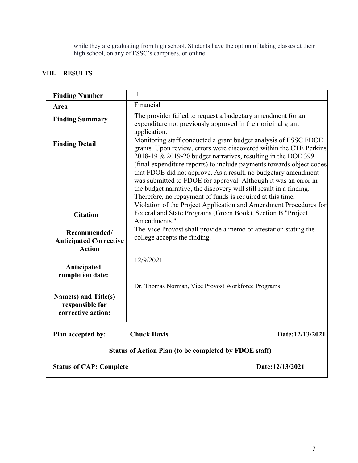while they are graduating from high school. Students have the option of taking classes at their high school, on any of FSSC's campuses, or online.

## **VIII. RESULTS**

| <b>Finding Number</b>                                          | 1                                                                                                                                                                                                                                                                                                                                                                                                                                                                                                                                                        |  |
|----------------------------------------------------------------|----------------------------------------------------------------------------------------------------------------------------------------------------------------------------------------------------------------------------------------------------------------------------------------------------------------------------------------------------------------------------------------------------------------------------------------------------------------------------------------------------------------------------------------------------------|--|
| Area                                                           | Financial                                                                                                                                                                                                                                                                                                                                                                                                                                                                                                                                                |  |
| <b>Finding Summary</b>                                         | The provider failed to request a budgetary amendment for an<br>expenditure not previously approved in their original grant<br>application.                                                                                                                                                                                                                                                                                                                                                                                                               |  |
| <b>Finding Detail</b>                                          | Monitoring staff conducted a grant budget analysis of FSSC FDOE<br>grants. Upon review, errors were discovered within the CTE Perkins<br>2018-19 & 2019-20 budget narratives, resulting in the DOE 399<br>(final expenditure reports) to include payments towards object codes<br>that FDOE did not approve. As a result, no budgetary amendment<br>was submitted to FDOE for approval. Although it was an error in<br>the budget narrative, the discovery will still result in a finding.<br>Therefore, no repayment of funds is required at this time. |  |
| <b>Citation</b>                                                | Violation of the Project Application and Amendment Procedures for<br>Federal and State Programs (Green Book), Section B "Project<br>Amendments."                                                                                                                                                                                                                                                                                                                                                                                                         |  |
| Recommended/<br><b>Anticipated Corrective</b><br><b>Action</b> | The Vice Provost shall provide a memo of attestation stating the<br>college accepts the finding.                                                                                                                                                                                                                                                                                                                                                                                                                                                         |  |
| Anticipated<br>completion date:                                | 12/9/2021                                                                                                                                                                                                                                                                                                                                                                                                                                                                                                                                                |  |
| Name(s) and Title(s)<br>responsible for<br>corrective action:  | Dr. Thomas Norman, Vice Provost Workforce Programs                                                                                                                                                                                                                                                                                                                                                                                                                                                                                                       |  |
| Plan accepted by:                                              | <b>Chuck Davis</b><br>Date:12/13/2021                                                                                                                                                                                                                                                                                                                                                                                                                                                                                                                    |  |
| Status of Action Plan (to be completed by FDOE staff)          |                                                                                                                                                                                                                                                                                                                                                                                                                                                                                                                                                          |  |
| <b>Status of CAP: Complete</b>                                 | Date:12/13/2021                                                                                                                                                                                                                                                                                                                                                                                                                                                                                                                                          |  |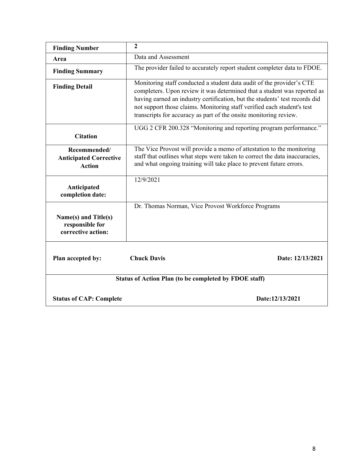| <b>Finding Number</b>                                          | $\overline{2}$                                                                                                                                                                                                                                                                                                                                                                   |  |  |
|----------------------------------------------------------------|----------------------------------------------------------------------------------------------------------------------------------------------------------------------------------------------------------------------------------------------------------------------------------------------------------------------------------------------------------------------------------|--|--|
| Area                                                           | Data and Assessment                                                                                                                                                                                                                                                                                                                                                              |  |  |
| <b>Finding Summary</b>                                         | The provider failed to accurately report student completer data to FDOE.                                                                                                                                                                                                                                                                                                         |  |  |
| <b>Finding Detail</b>                                          | Monitoring staff conducted a student data audit of the provider's CTE<br>completers. Upon review it was determined that a student was reported as<br>having earned an industry certification, but the students' test records did<br>not support those claims. Monitoring staff verified each student's test<br>transcripts for accuracy as part of the onsite monitoring review. |  |  |
| <b>Citation</b>                                                | UGG 2 CFR 200.328 "Monitoring and reporting program performance."                                                                                                                                                                                                                                                                                                                |  |  |
| Recommended/<br><b>Anticipated Corrective</b><br><b>Action</b> | The Vice Provost will provide a memo of attestation to the monitoring<br>staff that outlines what steps were taken to correct the data inaccuracies,<br>and what ongoing training will take place to prevent future errors.                                                                                                                                                      |  |  |
| Anticipated<br>completion date:                                | 12/9/2021                                                                                                                                                                                                                                                                                                                                                                        |  |  |
| Name(s) and Title(s)<br>responsible for<br>corrective action:  | Dr. Thomas Norman, Vice Provost Workforce Programs                                                                                                                                                                                                                                                                                                                               |  |  |
| Plan accepted by:                                              | <b>Chuck Davis</b><br>Date: 12/13/2021                                                                                                                                                                                                                                                                                                                                           |  |  |
| Status of Action Plan (to be completed by FDOE staff)          |                                                                                                                                                                                                                                                                                                                                                                                  |  |  |
| <b>Status of CAP: Complete</b>                                 | Date:12/13/2021                                                                                                                                                                                                                                                                                                                                                                  |  |  |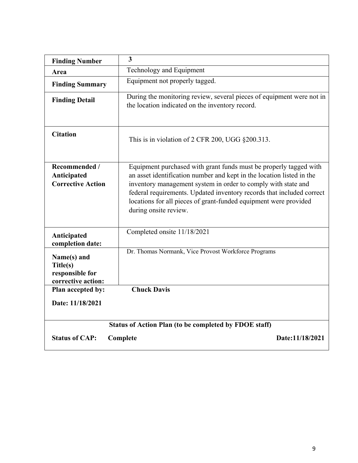| <b>Finding Number</b>                                            | 3                                                                                                                                                                                                                                                                                                                                                                                 |  |  |
|------------------------------------------------------------------|-----------------------------------------------------------------------------------------------------------------------------------------------------------------------------------------------------------------------------------------------------------------------------------------------------------------------------------------------------------------------------------|--|--|
| Area                                                             | Technology and Equipment                                                                                                                                                                                                                                                                                                                                                          |  |  |
| <b>Finding Summary</b>                                           | Equipment not properly tagged.                                                                                                                                                                                                                                                                                                                                                    |  |  |
| <b>Finding Detail</b>                                            | During the monitoring review, several pieces of equipment were not in<br>the location indicated on the inventory record.                                                                                                                                                                                                                                                          |  |  |
| <b>Citation</b>                                                  | This is in violation of 2 CFR 200, UGG $\S 200.313$ .                                                                                                                                                                                                                                                                                                                             |  |  |
| Recommended /<br>Anticipated<br><b>Corrective Action</b>         | Equipment purchased with grant funds must be properly tagged with<br>an asset identification number and kept in the location listed in the<br>inventory management system in order to comply with state and<br>federal requirements. Updated inventory records that included correct<br>locations for all pieces of grant-funded equipment were provided<br>during onsite review. |  |  |
| Anticipated<br>completion date:                                  | Completed onsite 11/18/2021                                                                                                                                                                                                                                                                                                                                                       |  |  |
| Name(s) and<br>Title(s)<br>responsible for<br>corrective action: | Dr. Thomas Normank, Vice Provost Workforce Programs                                                                                                                                                                                                                                                                                                                               |  |  |
| Plan accepted by:                                                | <b>Chuck Davis</b>                                                                                                                                                                                                                                                                                                                                                                |  |  |
| Date: 11/18/2021                                                 |                                                                                                                                                                                                                                                                                                                                                                                   |  |  |
| Status of Action Plan (to be completed by FDOE staff)            |                                                                                                                                                                                                                                                                                                                                                                                   |  |  |
| <b>Status of CAP:</b><br>Date:11/18/2021<br>Complete             |                                                                                                                                                                                                                                                                                                                                                                                   |  |  |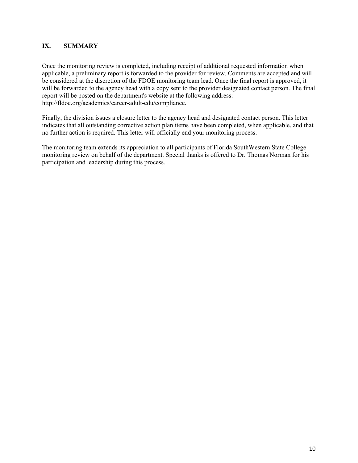#### **IX. SUMMARY**

Once the monitoring review is completed, including receipt of additional requested information when applicable, a preliminary report is forwarded to the provider for review. Comments are accepted and will be considered at the discretion of the FDOE monitoring team lead. Once the final report is approved, it will be forwarded to the agency head with a copy sent to the provider designated contact person. The final report will be posted on the department's website at the following address: http://fldoe.org/academics/career-adult-edu/compliance.

Finally, the division issues a closure letter to the agency head and designated contact person. This letter indicates that all outstanding corrective action plan items have been completed, when applicable, and that no further action is required. This letter will officially end your monitoring process.

The monitoring team extends its appreciation to all participants of Florida SouthWestern State College monitoring review on behalf of the department. Special thanks is offered to Dr. Thomas Norman for his participation and leadership during this process.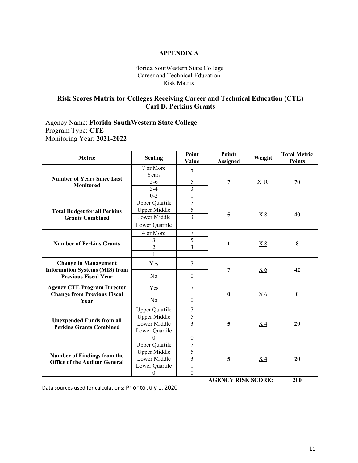#### **APPENDIX A**

Florida SoutWestern State College Career and Technical Education Risk Matrix

# **Risk Scores Matrix for Colleges Receiving Career and Technical Education (CTE) Carl D. Perkins Grants**

Agency Name: **Florida SouthWestern State College**  Program Type: **CTE**  Monitoring Year: **2021-2022** 

| <b>Metric</b>                                                                                       | <b>Scaling</b>        | Point<br>Value          | <b>Points</b><br><b>Assigned</b> | Weight            | <b>Total Metric</b><br><b>Points</b> |
|-----------------------------------------------------------------------------------------------------|-----------------------|-------------------------|----------------------------------|-------------------|--------------------------------------|
| <b>Number of Years Since Last</b><br><b>Monitored</b>                                               | 7 or More<br>Years    | 7                       |                                  |                   |                                      |
|                                                                                                     | $5-6$                 | 5                       | 7                                | X <sub>10</sub>   | 70                                   |
|                                                                                                     | $3-4$                 | $\overline{3}$          |                                  |                   |                                      |
|                                                                                                     | $0 - 2$               | $\mathbf{1}$            |                                  |                   |                                      |
|                                                                                                     | <b>Upper Quartile</b> | $\overline{7}$          |                                  |                   |                                      |
| <b>Total Budget for all Perkins</b>                                                                 | <b>Upper Middle</b>   | 5                       |                                  |                   |                                      |
| <b>Grants Combined</b>                                                                              | Lower Middle          | 3                       | 5                                | $\underline{X} 8$ | 40                                   |
|                                                                                                     | Lower Quartile        | $\mathbf{1}$            |                                  |                   |                                      |
|                                                                                                     | 4 or More             | $\tau$                  |                                  |                   | 8                                    |
|                                                                                                     | $\overline{3}$        | $\overline{5}$          |                                  |                   |                                      |
| <b>Number of Perkins Grants</b>                                                                     | $\overline{2}$        | $\overline{3}$          | 1                                | X8                |                                      |
|                                                                                                     | $\mathbf{1}$          | $\mathbf{1}$            |                                  |                   |                                      |
| <b>Change in Management</b><br><b>Information Systems (MIS) from</b><br><b>Previous Fiscal Year</b> | Yes                   | $\overline{7}$          | 7                                |                   | 42                                   |
|                                                                                                     | N <sub>0</sub>        | $\theta$                |                                  | <u>X6</u>         |                                      |
| <b>Agency CTE Program Director</b><br><b>Change from Previous Fiscal</b><br>Year                    | Yes                   | 7                       | $\mathbf{0}$                     | X <sub>6</sub>    | $\mathbf{0}$                         |
|                                                                                                     | No                    | $\theta$                |                                  |                   |                                      |
|                                                                                                     | <b>Upper Quartile</b> | 7                       |                                  |                   |                                      |
| <b>Unexpended Funds from all</b>                                                                    | <b>Upper Middle</b>   | 5                       | 5                                | X <sub>4</sub>    | 20                                   |
| <b>Perkins Grants Combined</b>                                                                      | Lower Middle          | $\overline{\mathbf{3}}$ |                                  |                   |                                      |
|                                                                                                     | Lower Quartile        | $\mathbf{1}$            |                                  |                   |                                      |
|                                                                                                     | $\mathbf{0}$          | $\boldsymbol{0}$        |                                  |                   |                                      |
|                                                                                                     | <b>Upper Quartile</b> | 7                       |                                  |                   |                                      |
| <b>Number of Findings from the</b>                                                                  | <b>Upper Middle</b>   | 5                       |                                  |                   |                                      |
| <b>Office of the Auditor General</b>                                                                | Lower Middle          | $\overline{3}$          | 5<br><u>X4</u>                   |                   | 20                                   |
|                                                                                                     | Lower Quartile        | $\mathbf{1}$            |                                  |                   |                                      |
|                                                                                                     | $\mathbf{0}$          | $\mathbf{0}$            |                                  |                   |                                      |
| <b>AGENCY RISK SCORE:</b>                                                                           |                       |                         |                                  |                   | 200                                  |

Data sources used for calculations: Prior to July 1, 2020